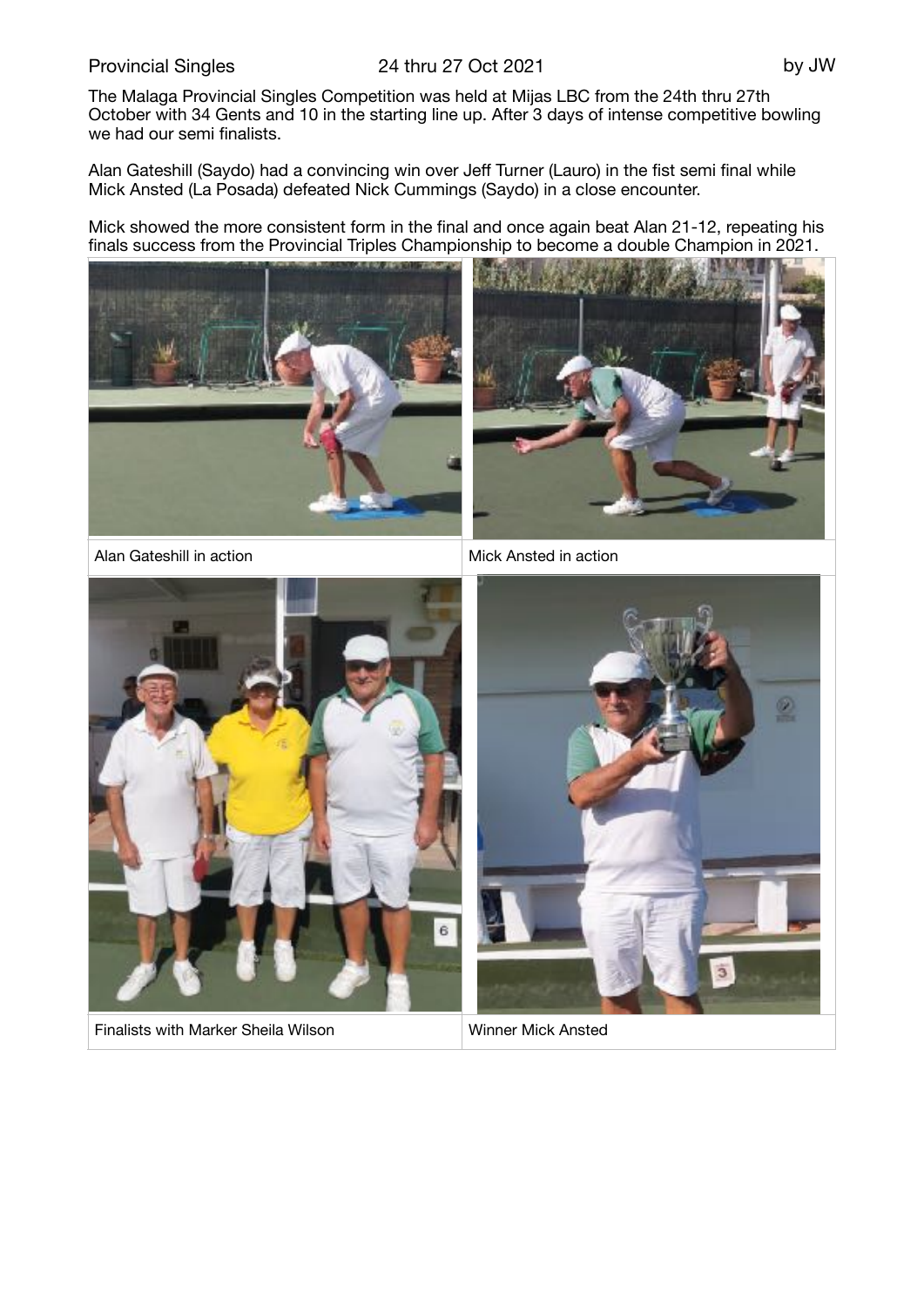## Provincial Singles 24 thru 27 Oct 2021 by JW

The Malaga Provincial Singles Competition was held at Mijas LBC from the 24th thru 27th October with 34 Gents and 10 in the starting line up. After 3 days of intense competitive bowling we had our semi finalists.

Alan Gateshill (Saydo) had a convincing win over Jeff Turner (Lauro) in the fist semi final while Mick Ansted (La Posada) defeated Nick Cummings (Saydo) in a close encounter.

Mick showed the more consistent form in the final and once again beat Alan 21-12, repeating his finals success from the Provincial Triples Championship to become a double Champion in 2021.





Alan Gateshill in action Mick Ansted in action



Finalists with Marker Sheila Wilson Winner Mick Ansted